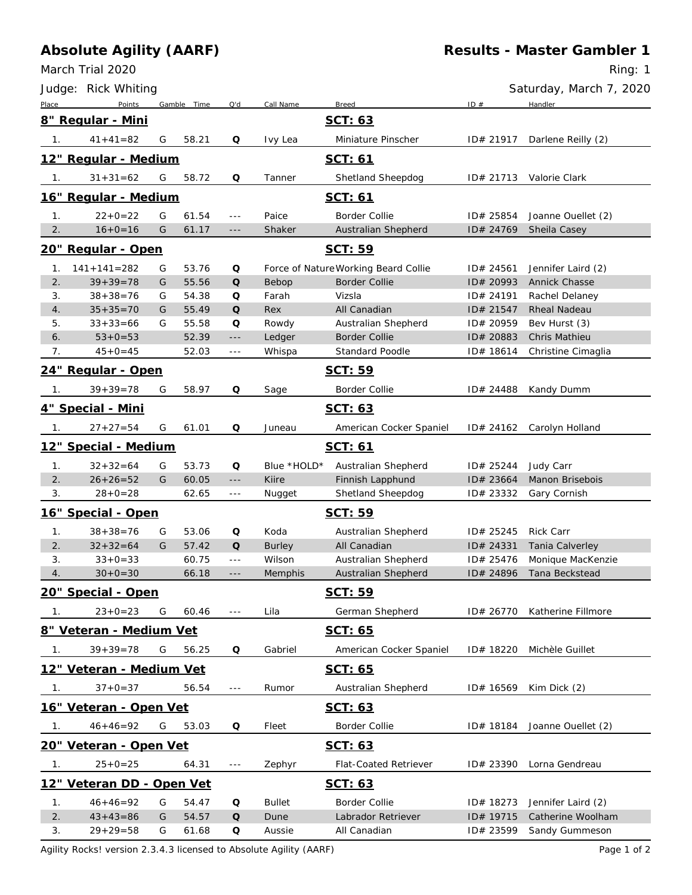## **Absolute Agility (AARF)**

March Trial 2020

Ring: 1

|                  | Judge: Rick Whiting            |   |             |                      |               |                                      |           | Saturday, March 7, 2020     |
|------------------|--------------------------------|---|-------------|----------------------|---------------|--------------------------------------|-----------|-----------------------------|
| Place            | Points                         |   | Gamble Time | Q'd                  | Call Name     | <b>Breed</b>                         | ID#       | Handler                     |
|                  | 8" Regular - Mini              |   |             |                      |               | SCT: 63                              |           |                             |
| 1.               | $41 + 41 = 82$                 | G | 58.21       | Q                    | Ivy Lea       | Miniature Pinscher                   | ID# 21917 | Darlene Reilly (2)          |
|                  | 12" Regular - Medium           |   |             |                      |               | <u>SCT: 61</u>                       |           |                             |
| 1.               | $31 + 31 = 62$                 | G | 58.72       | Q                    | Tanner        | Shetland Sheepdog                    | ID# 21713 | Valorie Clark               |
|                  | 16" Regular - Medium           |   |             |                      |               | SCT: 61                              |           |                             |
| 1.               | $22+0=22$                      | G | 61.54       | $\sim$ $\sim$ $\sim$ | Paice         | <b>Border Collie</b>                 | ID# 25854 | Joanne Ouellet (2)          |
| 2.               | $16+0=16$                      | G | 61.17       | $-\, -\, -$          | Shaker        | Australian Shepherd                  | ID# 24769 | Sheila Casey                |
|                  | <u> 20" Regular - Open</u>     |   |             |                      |               | SCT: 59                              |           |                             |
| 1.               | $141 + 141 = 282$              | G | 53.76       | Q                    |               | Force of Nature Working Beard Collie | ID# 24561 | Jennifer Laird (2)          |
| 2.               | $39 + 39 = 78$                 | G | 55.56       | $\mathsf O$          | Bebop         | <b>Border Collie</b>                 | ID# 20993 | <b>Annick Chasse</b>        |
| 3.               | $38 + 38 = 76$                 | G | 54.38       | Q                    | Farah         | Vizsla                               | ID# 24191 | Rachel Delaney              |
| 4.               | $35 + 35 = 70$                 | G | 55.49       | Q                    | Rex           | All Canadian                         | ID# 21547 | Rheal Nadeau                |
| 5.               | $33 + 33 = 66$                 | G | 55.58       | Q                    | Rowdy         | Australian Shepherd                  | ID# 20959 | Bev Hurst (3)               |
| 6.               | $53 + 0 = 53$                  |   | 52.39       | $- - -$              | Ledger        | <b>Border Collie</b>                 | ID# 20883 | Chris Mathieu               |
| 7.               | $45+0=45$                      |   | 52.03       | $\sim$ $\sim$ $\sim$ | Whispa        | <b>Standard Poodle</b>               | ID# 18614 | Christine Cimaglia          |
|                  | <u> 24" Regular - Open</u>     |   |             |                      |               | <u>SCT: 59</u>                       |           |                             |
| 1.               | $39 + 39 = 78$                 | G | 58.97       | Q                    | Sage          | <b>Border Collie</b>                 | ID# 24488 | Kandy Dumm                  |
|                  | <u> 4" Special - Mini</u>      |   |             |                      |               | SCT: 63                              |           |                             |
| 1.               | $27 + 27 = 54$                 | G | 61.01       | Q                    | Juneau        | American Cocker Spaniel              | ID# 24162 | Carolyn Holland             |
|                  | <u> 12" Special - Medium</u>   |   |             |                      |               | <u>SCT: 61</u>                       |           |                             |
| 1 <sub>1</sub>   | $32 + 32 = 64$                 | G | 53.73       | Q                    | Blue *HOLD*   | Australian Shepherd                  | ID# 25244 | Judy Carr                   |
| 2.               | $26 + 26 = 52$                 | G | 60.05       | $- - -$              | <b>Kiire</b>  | Finnish Lapphund                     | ID# 23664 | Manon Brisebois             |
| 3.               | $28 + 0 = 28$                  |   | 62.65       | $- - -$              | Nugget        | Shetland Sheepdog                    | ID# 23332 | Gary Cornish                |
|                  | 16" Special - Open             |   |             |                      |               | SCT: 59                              |           |                             |
| 1.               | $38 + 38 = 76$                 | G | 53.06       | Q                    | Koda          | Australian Shepherd                  | ID# 25245 | <b>Rick Carr</b>            |
| 2.               | $32 + 32 = 64$                 | G | 57.42       | Q                    | <b>Burley</b> | All Canadian                         | ID# 24331 | Tania Calverley             |
| 3.               | $33 + 0 = 33$                  |   | 60.75       | $- - -$              | Wilson        | Australian Shepherd                  | ID# 25476 | Monique MacKenzie           |
| 4.               | $30+0=30$                      |   | 66.18       | $\sim$ $\sim$ $\sim$ | Memphis       | Australian Shepherd                  | ID# 24896 | Tana Beckstead              |
|                  | 20" Special - Open             |   |             |                      |               | SCT: 59                              |           |                             |
| 1.               | $23 + 0 = 23$                  | G | 60.46       | $\sim$ $ \sim$       | Lila          | German Shepherd                      | ID# 26770 | Katherine Fillmore          |
|                  | 8" Veteran - Medium Vet        |   |             |                      |               | <u>SCT: 65</u>                       |           |                             |
| 1.               | $39 + 39 = 78$                 | G | 56.25       | Q                    | Gabriel       | American Cocker Spaniel              | ID# 18220 | Michèle Guillet             |
|                  | 12" Veteran - Medium Vet       |   |             |                      |               | <u>SCT: 65</u>                       |           |                             |
| $\overline{1}$ . | $37 + 0 = 37$                  |   | 56.54       | $\sim$ $\sim$ $\sim$ | Rumor         | Australian Shepherd                  | ID# 16569 | Kim Dick (2)                |
|                  | 16" Veteran - Open Vet         |   |             |                      |               | <u>SCT: 63</u>                       |           |                             |
| 1.               | $46 + 46 = 92$                 | G | 53.03       | Q                    | Fleet         | Border Collie                        | ID# 18184 | Joanne Ouellet (2)          |
|                  | <u> 20" Veteran - Open Vet</u> |   |             |                      |               | <u>SCT: 63</u>                       |           |                             |
| 1.               | $25 + 0 = 25$                  |   | 64.31       | $  -$                | Zephyr        | Flat-Coated Retriever                | ID# 23390 | Lorna Gendreau              |
|                  | 12" Veteran DD - Open Vet      |   |             |                      |               | SCT: 63                              |           |                             |
| 1.               | $46 + 46 = 92$                 | G | 54.47       | Q                    | <b>Bullet</b> | <b>Border Collie</b>                 | ID# 18273 | Jennifer Laird (2)          |
| 2.               | $43 + 43 = 86$                 | G | 54.57       | $\circ$              | Dune          | Labrador Retriever                   |           | ID# 19715 Catherine Woolham |

3. 29+29=58 G 61.68 **Q** Aussie All Canadian ID# 23599 Sandy Gummeson

Agility Rocks! version 2.3.4.3 licensed to Absolute Agility (AARF) example 2 and the Page 1 of 2